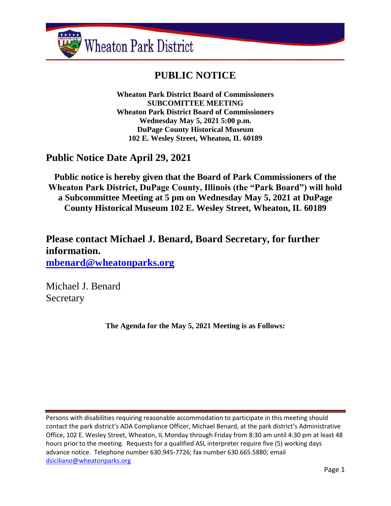

# **PUBLIC NOTICE**

**Wheaton Park District Board of Commissioners SUBCOMITTEE MEETING Wheaton Park District Board of Commissioners Wednesday May 5, 2021 5:00 p.m. DuPage County Historical Museum 102 E. Wesley Street, Wheaton, IL 60189**

# **Public Notice Date April 29, 2021**

**Public notice is hereby given that the Board of Park Commissioners of the Wheaton Park District, DuPage County, Illinois (the "Park Board") will hold a Subcommittee Meeting at 5 pm on Wednesday May 5, 2021 at DuPage County Historical Museum 102 E. Wesley Street, Wheaton, IL 60189**

**Please contact Michael J. Benard, Board Secretary, for further information. [mbenard@wheatonparks.org](mailto:mbenard@wheatonparks.org)**

Michael J. Benard **Secretary** 

**The Agenda for the May 5, 2021 Meeting is as Follows:**

Persons with disabilities requiring reasonable accommodation to participate in this meeting should contact the park district's ADA Compliance Officer, Michael Benard, at the park district's Administrative Office, 102 E. Wesley Street, Wheaton, IL Monday through Friday from 8:30 am until 4:30 pm at least 48 hours prior to the meeting. Requests for a qualified ASL interpreter require five (5) working days advance notice. Telephone number 630.945-7726; fax number 630.665.5880; email [dsiciliano@wheatonparks.org](mailto:dsiciliano@wheatonparks.org)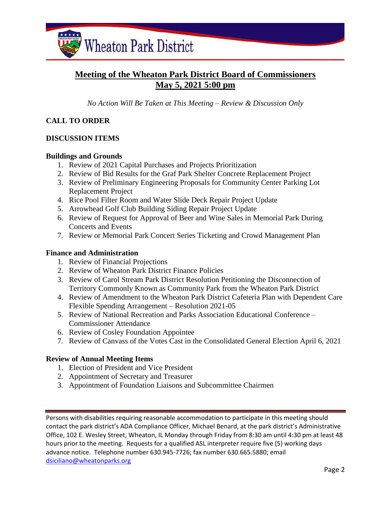

# **Meeting of the Wheaton Park District Board of Commissioners May 5, 2021 5:00 pm**

*No Action Will Be Taken at This Meeting – Review & Discussion Only*

### **CALL TO ORDER**

#### **DISCUSSION ITEMS**

#### **Buildings and Grounds**

- 1. Review of 2021 Capital Purchases and Projects Prioritization
- 2. Review of Bid Results for the Graf Park Shelter Concrete Replacement Project
- 3. Review of Preliminary Engineering Proposals for Community Center Parking Lot Replacement Project
- 4. Rice Pool Filter Room and Water Slide Deck Repair Project Update
- 5. Arrowhead Golf Club Building Siding Repair Project Update
- 6. Review of Request for Approval of Beer and Wine Sales in Memorial Park During Concerts and Events
- 7. Review or Memorial Park Concert Series Ticketing and Crowd Management Plan

#### **Finance and Administration**

- 1. Review of Financial Projections
- 2. Review of Wheaton Park District Finance Policies
- 3. Review of Carol Stream Park District Resolution Petitioning the Disconnection of Territory Commonly Known as Community Park from the Wheaton Park District
- 4. Review of Amendment to the Wheaton Park District Cafeteria Plan with Dependent Care Flexible Spending Arrangement – Resolution 2021-05
- 5. Review of National Recreation and Parks Association Educational Conference Commissioner Attendance
- 6. Review of Cosley Foundation Appointee
- 7. Review of Canvass of the Votes Cast in the Consolidated General Election April 6, 2021

#### **Review of Annual Meeting Items**

- 1. Election of President and Vice President
- 2. Appointment of Secretary and Treasurer
- 3. Appointment of Foundation Liaisons and Subcommittee Chairmen

Persons with disabilities requiring reasonable accommodation to participate in this meeting should contact the park district's ADA Compliance Officer, Michael Benard, at the park district's Administrative Office, 102 E. Wesley Street, Wheaton, IL Monday through Friday from 8:30 am until 4:30 pm at least 48 hours prior to the meeting. Requests for a qualified ASL interpreter require five (5) working days advance notice. Telephone number 630.945-7726; fax number 630.665.5880; email [dsiciliano@wheatonparks.org](mailto:dsiciliano@wheatonparks.org)